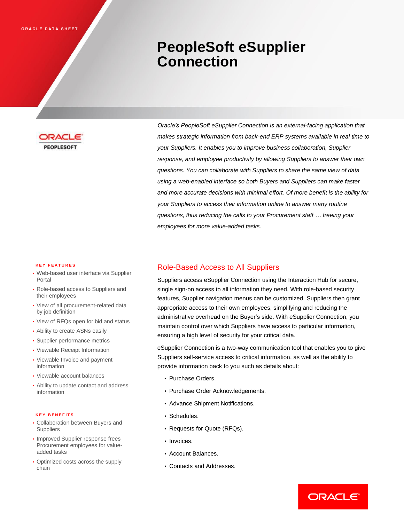# **PeopleSoft eSupplier Connection**



*Oracle's PeopleSoft eSupplier Connection is an external-facing application that makes strategic information from back-end ERP systems available in real time to your Suppliers. It enables you to improve business collaboration, Supplier response, and employee productivity by allowing Suppliers to answer their own questions. You can collaborate with Suppliers to share the same view of data using a web-enabled interface so both Buyers and Suppliers can make faster and more accurate decisions with minimal effort. Of more benefit is the ability for your Suppliers to access their information online to answer many routine questions, thus reducing the calls to your Procurement staff … freeing your employees for more value-added tasks.*

#### **K E Y F E A T U R E S**

- Web-based user interface via Supplier Portal
- Role-based access to Suppliers and their employees
- View of all procurement-related data by job definition
- View of RFQs open for bid and status
- Ability to create ASNs easily
- Supplier performance metrics
- Viewable Receipt Information
- Viewable Invoice and payment information
- Viewable account balances
- Ability to update contact and address information

#### **K E Y B E N E F I T S**

- Collaboration between Buyers and **Suppliers**
- Improved Supplier response frees Procurement employees for valueadded tasks
- Optimized costs across the supply chain

#### Role-Based Access to All Suppliers

Suppliers access eSupplier Connection using the Interaction Hub for secure, single sign-on access to all information they need. With role-based security features, Supplier navigation menus can be customized. Suppliers then grant appropriate access to their own employees, simplifying and reducing the administrative overhead on the Buyer's side. With eSupplier Connection, you maintain control over which Suppliers have access to particular information, ensuring a high level of security for your critical data.

eSupplier Connection is a two-way communication tool that enables you to give Suppliers self-service access to critical information, as well as the ability to provide information back to you such as details about:

- Purchase Orders.
- Purchase Order Acknowledgements.
- Advance Shipment Notifications.
- Schedules.
- Requests for Quote (RFQs).
- Invoices.
- Account Balances.
- Contacts and Addresses.

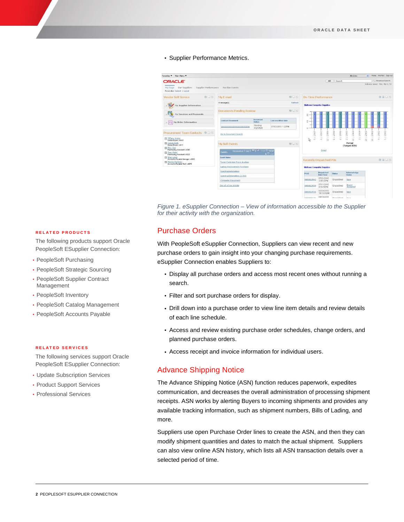#### • Supplier Performance Metrics.



*Figure 1. eSupplier Connection – View of information accessible to the Supplier for their activity with the organization.*

# Purchase Orders

With PeopleSoft eSupplier Connection, Suppliers can view recent and new purchase orders to gain insight into your changing purchase requirements. eSupplier Connection enables Suppliers to:

- Display all purchase orders and access most recent ones without running a search.
- Filter and sort purchase orders for display.
- Drill down into a purchase order to view line item details and review details of each line schedule.
- Access and review existing purchase order schedules, change orders, and planned purchase orders.
- Access receipt and invoice information for individual users.

#### Advance Shipping Notice

The Advance Shipping Notice (ASN) function reduces paperwork, expedites communication, and decreases the overall administration of processing shipment receipts. ASN works by alerting Buyers to incoming shipments and provides any available tracking information, such as shipment numbers, Bills of Lading, and more.

Suppliers use open Purchase Order lines to create the ASN, and then they can modify shipment quantities and dates to match the actual shipment. Suppliers can also view online ASN history, which lists all ASN transaction details over a selected period of time.

#### **R E L A T E D P R O D U C T S**

The following products support Oracle PeopleSoft ESupplier Connection:

- PeopleSoft Purchasing
- PeopleSoft Strategic Sourcing
- PeopleSoft Supplier Contract Management
- PeopleSoft Inventory
- PeopleSoft Catalog Management
- PeopleSoft Accounts Payable

#### **R E L A T E D S E R V I C E S**

The following services support Oracle PeopleSoft ESupplier Connection:

- Update Subscription Services
- Product Support Services
- Professional Services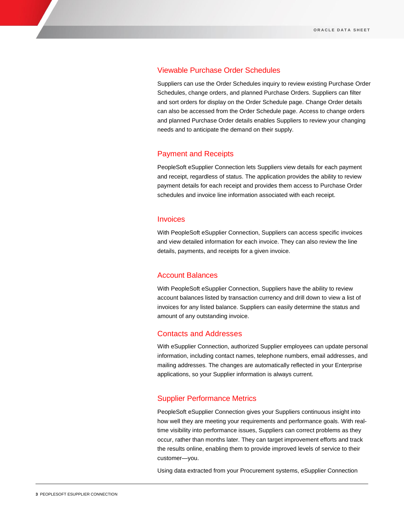#### Viewable Purchase Order Schedules

Suppliers can use the Order Schedules inquiry to review existing Purchase Order Schedules, change orders, and planned Purchase Orders. Suppliers can filter and sort orders for display on the Order Schedule page. Change Order details can also be accessed from the Order Schedule page. Access to change orders and planned Purchase Order details enables Suppliers to review your changing needs and to anticipate the demand on their supply.

# Payment and Receipts

PeopleSoft eSupplier Connection lets Suppliers view details for each payment and receipt, regardless of status. The application provides the ability to review payment details for each receipt and provides them access to Purchase Order schedules and invoice line information associated with each receipt.

# Invoices

With PeopleSoft eSupplier Connection, Suppliers can access specific invoices and view detailed information for each invoice. They can also review the line details, payments, and receipts for a given invoice.

# Account Balances

With PeopleSoft eSupplier Connection, Suppliers have the ability to review account balances listed by transaction currency and drill down to view a list of invoices for any listed balance. Suppliers can easily determine the status and amount of any outstanding invoice.

### Contacts and Addresses

With eSupplier Connection, authorized Supplier employees can update personal information, including contact names, telephone numbers, email addresses, and mailing addresses. The changes are automatically reflected in your Enterprise applications, so your Supplier information is always current.

# Supplier Performance Metrics

PeopleSoft eSupplier Connection gives your Suppliers continuous insight into how well they are meeting your requirements and performance goals. With realtime visibility into performance issues, Suppliers can correct problems as they occur, rather than months later. They can target improvement efforts and track the results online, enabling them to provide improved levels of service to their customer—you.

Using data extracted from your Procurement systems, eSupplier Connection